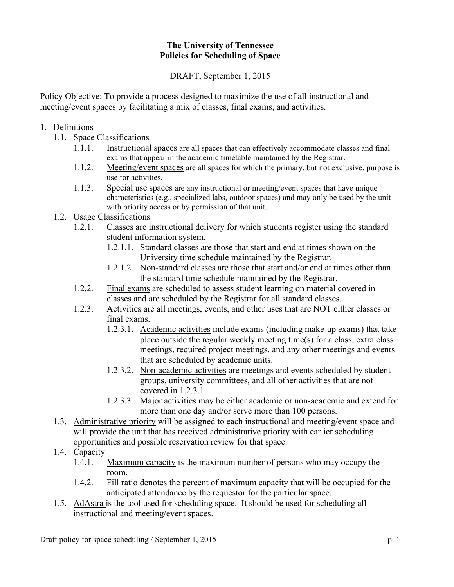## **The University of Tennessee Policies for Scheduling of Space**

DRAFT, September 1, 2015

Policy Objective: To provide a process designed to maximize the use of all instructional and meeting/event spaces by facilitating a mix of classes, final exams, and activities.

## 1. Definitions

- 1.1. Space Classifications
	- 1.1.1. Instructional spaces are all spaces that can effectively accommodate classes and final exams that appear in the academic timetable maintained by the Registrar.
	- 1.1.2. Meeting/event spaces are all spaces for which the primary, but not exclusive, purpose is use for activities.
	- 1.1.3. Special use spaces are any instructional or meeting/event spaces that have unique characteristics (e.g., specialized labs, outdoor spaces) and may only be used by the unit with priority access or by permission of that unit.
- 1.2. Usage Classifications
	- 1.2.1. Classes are instructional delivery for which students register using the standard student information system.
		- 1.2.1.1. Standard classes are those that start and end at times shown on the University time schedule maintained by the Registrar.
		- 1.2.1.2. Non-standard classes are those that start and/or end at times other than the standard time schedule maintained by the Registrar.
	- 1.2.2. Final exams are scheduled to assess student learning on material covered in classes and are scheduled by the Registrar for all standard classes.
	- 1.2.3. Activities are all meetings, events, and other uses that are NOT either classes or final exams.
		- 1.2.3.1. Academic activities include exams (including make-up exams) that take place outside the regular weekly meeting time(s) for a class, extra class meetings, required project meetings, and any other meetings and events that are scheduled by academic units.
		- 1.2.3.2. Non-academic activities are meetings and events scheduled by student groups, university committees, and all other activities that are not covered in 1.2.3.1.
		- 1.2.3.3. Major activities may be either academic or non-academic and extend for more than one day and/or serve more than 100 persons.
- 1.3. Administrative priority will be assigned to each instructional and meeting/event space and will provide the unit that has received administrative priority with earlier scheduling opportunities and possible reservation review for that space.
- 1.4. Capacity
	- 1.4.1. Maximum capacity is the maximum number of persons who may occupy the room.
	- 1.4.2. Fill ratio denotes the percent of maximum capacity that will be occupied for the anticipated attendance by the requestor for the particular space.
- 1.5. AdAstra is the tool used for scheduling space. It should be used for scheduling all instructional and meeting/event spaces.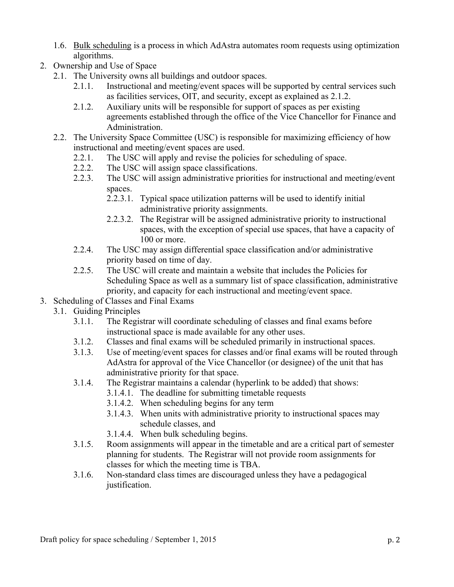- 1.6. Bulk scheduling is a process in which AdAstra automates room requests using optimization algorithms.
- 2. Ownership and Use of Space
	- 2.1. The University owns all buildings and outdoor spaces.
		- 2.1.1. Instructional and meeting/event spaces will be supported by central services such as facilities services, OIT, and security, except as explained as 2.1.2.
		- 2.1.2. Auxiliary units will be responsible for support of spaces as per existing agreements established through the office of the Vice Chancellor for Finance and Administration.
	- 2.2. The University Space Committee (USC) is responsible for maximizing efficiency of how instructional and meeting/event spaces are used.
		- 2.2.1. The USC will apply and revise the policies for scheduling of space.
		- 2.2.2. The USC will assign space classifications.
		- 2.2.3. The USC will assign administrative priorities for instructional and meeting/event spaces.
			- 2.2.3.1. Typical space utilization patterns will be used to identify initial administrative priority assignments.
			- 2.2.3.2. The Registrar will be assigned administrative priority to instructional spaces, with the exception of special use spaces, that have a capacity of 100 or more.
		- 2.2.4. The USC may assign differential space classification and/or administrative priority based on time of day.
		- 2.2.5. The USC will create and maintain a website that includes the Policies for Scheduling Space as well as a summary list of space classification, administrative priority, and capacity for each instructional and meeting/event space.
- 3. Scheduling of Classes and Final Exams
	- 3.1. Guiding Principles
		- 3.1.1. The Registrar will coordinate scheduling of classes and final exams before instructional space is made available for any other uses.
		- 3.1.2. Classes and final exams will be scheduled primarily in instructional spaces.
		- 3.1.3. Use of meeting/event spaces for classes and/or final exams will be routed through AdAstra for approval of the Vice Chancellor (or designee) of the unit that has administrative priority for that space.
		- 3.1.4. The Registrar maintains a calendar (hyperlink to be added) that shows:
			- 3.1.4.1. The deadline for submitting timetable requests
			- 3.1.4.2. When scheduling begins for any term
			- 3.1.4.3. When units with administrative priority to instructional spaces may schedule classes, and
			- 3.1.4.4. When bulk scheduling begins.
		- 3.1.5. Room assignments will appear in the timetable and are a critical part of semester planning for students. The Registrar will not provide room assignments for classes for which the meeting time is TBA.
		- 3.1.6. Non-standard class times are discouraged unless they have a pedagogical justification.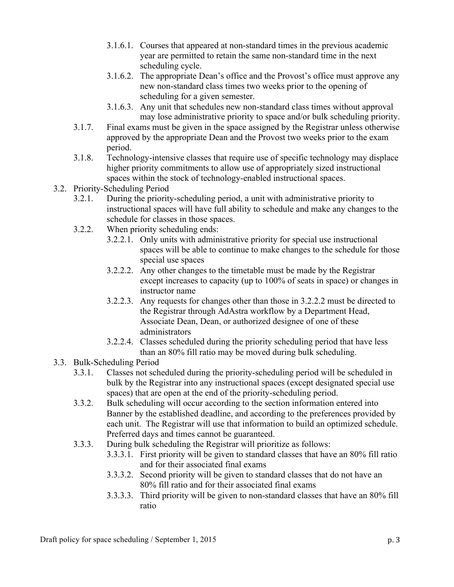- 3.1.6.1. Courses that appeared at non-standard times in the previous academic year are permitted to retain the same non-standard time in the next scheduling cycle.
- 3.1.6.2. The appropriate Dean's office and the Provost's office must approve any new non-standard class times two weeks prior to the opening of scheduling for a given semester.
- 3.1.6.3. Any unit that schedules new non-standard class times without approval may lose administrative priority to space and/or bulk scheduling priority.
- 3.1.7. Final exams must be given in the space assigned by the Registrar unless otherwise approved by the appropriate Dean and the Provost two weeks prior to the exam period.
- 3.1.8. Technology-intensive classes that require use of specific technology may displace higher priority commitments to allow use of appropriately sized instructional spaces within the stock of technology-enabled instructional spaces.
- 3.2. Priority-Scheduling Period
	- 3.2.1. During the priority-scheduling period, a unit with administrative priority to instructional spaces will have full ability to schedule and make any changes to the schedule for classes in those spaces.
	- 3.2.2. When priority scheduling ends:
		- 3.2.2.1. Only units with administrative priority for special use instructional spaces will be able to continue to make changes to the schedule for those special use spaces
		- 3.2.2.2. Any other changes to the timetable must be made by the Registrar except increases to capacity (up to 100% of seats in space) or changes in instructor name
		- 3.2.2.3. Any requests for changes other than those in 3.2.2.2 must be directed to the Registrar through AdAstra workflow by a Department Head, Associate Dean, Dean, or authorized designee of one of these administrators
		- 3.2.2.4. Classes scheduled during the priority scheduling period that have less than an 80% fill ratio may be moved during bulk scheduling.
- 3.3. Bulk-Scheduling Period
	- 3.3.1. Classes not scheduled during the priority-scheduling period will be scheduled in bulk by the Registrar into any instructional spaces (except designated special use spaces) that are open at the end of the priority-scheduling period.
	- 3.3.2. Bulk scheduling will occur according to the section information entered into Banner by the established deadline, and according to the preferences provided by each unit. The Registrar will use that information to build an optimized schedule. Preferred days and times cannot be guaranteed.
	- 3.3.3. During bulk scheduling the Registrar will prioritize as follows:
		- 3.3.3.1. First priority will be given to standard classes that have an 80% fill ratio and for their associated final exams
		- 3.3.3.2. Second priority will be given to standard classes that do not have an 80% fill ratio and for their associated final exams
		- 3.3.3.3. Third priority will be given to non-standard classes that have an 80% fill ratio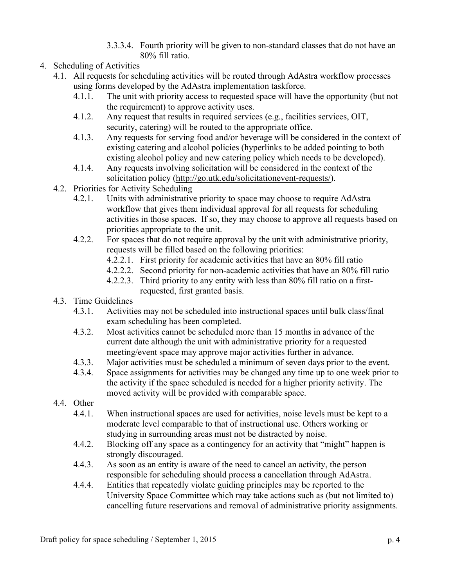- 3.3.3.4. Fourth priority will be given to non-standard classes that do not have an 80% fill ratio.
- 4. Scheduling of Activities
	- 4.1. All requests for scheduling activities will be routed through AdAstra workflow processes using forms developed by the AdAstra implementation taskforce.
		- 4.1.1. The unit with priority access to requested space will have the opportunity (but not the requirement) to approve activity uses.
		- 4.1.2. Any request that results in required services (e.g., facilities services, OIT, security, catering) will be routed to the appropriate office.
		- 4.1.3. Any requests for serving food and/or beverage will be considered in the context of existing catering and alcohol policies (hyperlinks to be added pointing to both existing alcohol policy and new catering policy which needs to be developed).
		- 4.1.4. Any requests involving solicitation will be considered in the context of the solicitation policy (http://go.utk.edu/solicitationevent-requests/).
	- 4.2. Priorities for Activity Scheduling
		- 4.2.1. Units with administrative priority to space may choose to require AdAstra workflow that gives them individual approval for all requests for scheduling activities in those spaces. If so, they may choose to approve all requests based on priorities appropriate to the unit.
		- 4.2.2. For spaces that do not require approval by the unit with administrative priority, requests will be filled based on the following priorities:
			- 4.2.2.1. First priority for academic activities that have an 80% fill ratio
			- 4.2.2.2. Second priority for non-academic activities that have an 80% fill ratio
			- 4.2.2.3. Third priority to any entity with less than 80% fill ratio on a firstrequested, first granted basis.
	- 4.3. Time Guidelines
		- 4.3.1. Activities may not be scheduled into instructional spaces until bulk class/final exam scheduling has been completed.
		- 4.3.2. Most activities cannot be scheduled more than 15 months in advance of the current date although the unit with administrative priority for a requested meeting/event space may approve major activities further in advance.
		- 4.3.3. Major activities must be scheduled a minimum of seven days prior to the event.
		- 4.3.4. Space assignments for activities may be changed any time up to one week prior to the activity if the space scheduled is needed for a higher priority activity. The moved activity will be provided with comparable space.
	- 4.4. Other
		- 4.4.1. When instructional spaces are used for activities, noise levels must be kept to a moderate level comparable to that of instructional use. Others working or studying in surrounding areas must not be distracted by noise.
		- 4.4.2. Blocking off any space as a contingency for an activity that "might" happen is strongly discouraged.
		- 4.4.3. As soon as an entity is aware of the need to cancel an activity, the person responsible for scheduling should process a cancellation through AdAstra.
		- 4.4.4. Entities that repeatedly violate guiding principles may be reported to the University Space Committee which may take actions such as (but not limited to) cancelling future reservations and removal of administrative priority assignments.